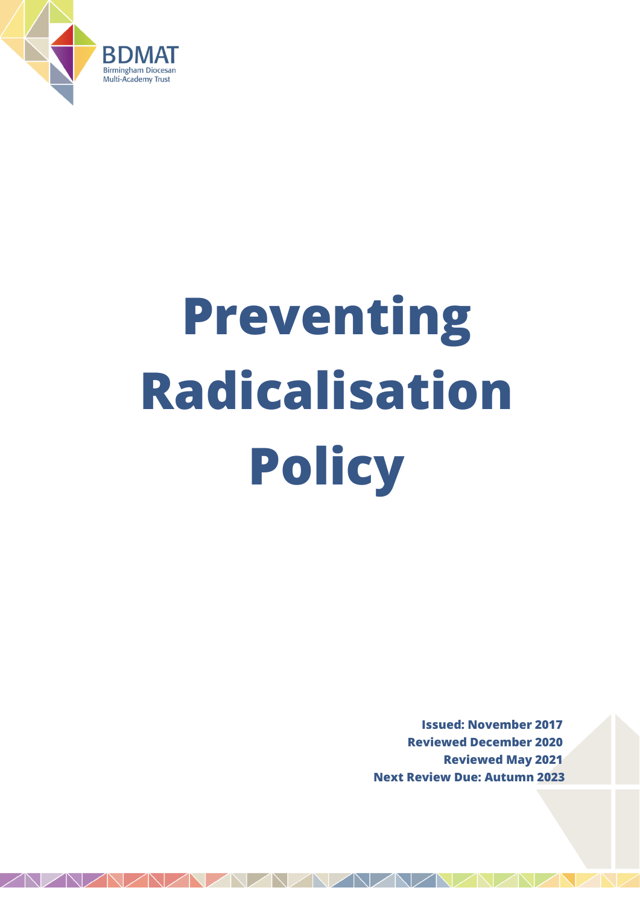

# **Preventing Radicalisation Policy**

**Issued: November 2017 Reviewed December 2020 Reviewed May 2021 Next Review Due: Autumn 2023**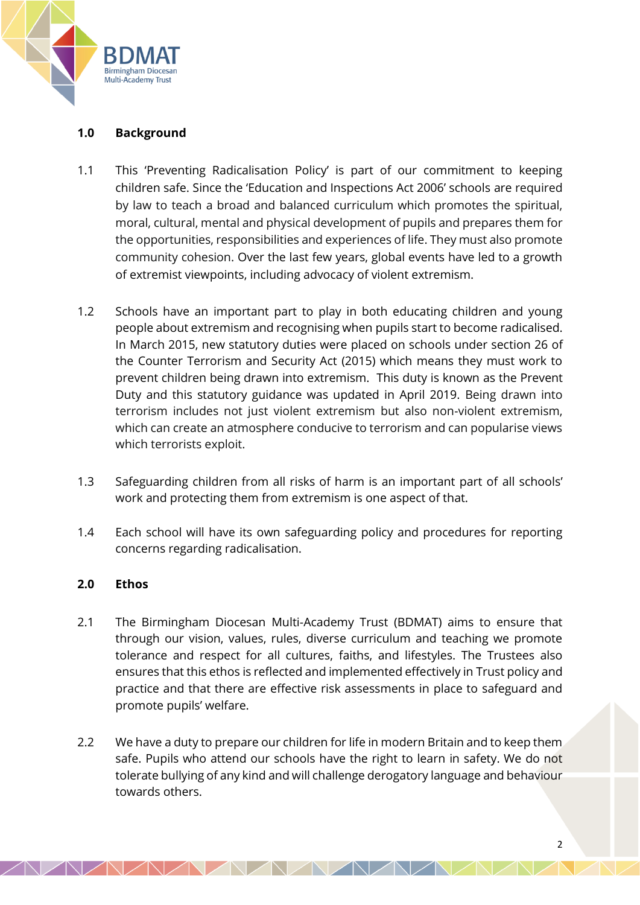

# **1.0 Background**

- 1.1 This 'Preventing Radicalisation Policy' is part of our commitment to keeping children safe. Since the 'Education and Inspections Act 2006' schools are required by law to teach a broad and balanced curriculum which promotes the spiritual, moral, cultural, mental and physical development of pupils and prepares them for the opportunities, responsibilities and experiences of life. They must also promote community cohesion. Over the last few years, global events have led to a growth of extremist viewpoints, including advocacy of violent extremism.
- 1.2 Schools have an important part to play in both educating children and young people about extremism and recognising when pupils start to become radicalised. In March 2015, new statutory duties were placed on schools under section 26 of the Counter Terrorism and Security Act (2015) which means they must work to prevent children being drawn into extremism. This duty is known as the Prevent Duty and this statutory guidance was updated in April 2019. Being drawn into terrorism includes not just violent extremism but also non-violent extremism, which can create an atmosphere conducive to terrorism and can popularise views which terrorists exploit.
- 1.3 Safeguarding children from all risks of harm is an important part of all schools' work and protecting them from extremism is one aspect of that.
- 1.4 Each school will have its own safeguarding policy and procedures for reporting concerns regarding radicalisation.

# **2.0 Ethos**

- 2.1 The Birmingham Diocesan Multi-Academy Trust (BDMAT) aims to ensure that through our vision, values, rules, diverse curriculum and teaching we promote tolerance and respect for all cultures, faiths, and lifestyles. The Trustees also ensures that this ethos is reflected and implemented effectively in Trust policy and practice and that there are effective risk assessments in place to safeguard and promote pupils' welfare.
- 2.2 We have a duty to prepare our children for life in modern Britain and to keep them safe. Pupils who attend our schools have the right to learn in safety. We do not tolerate bullying of any kind and will challenge derogatory language and behaviour towards others.

NAMAM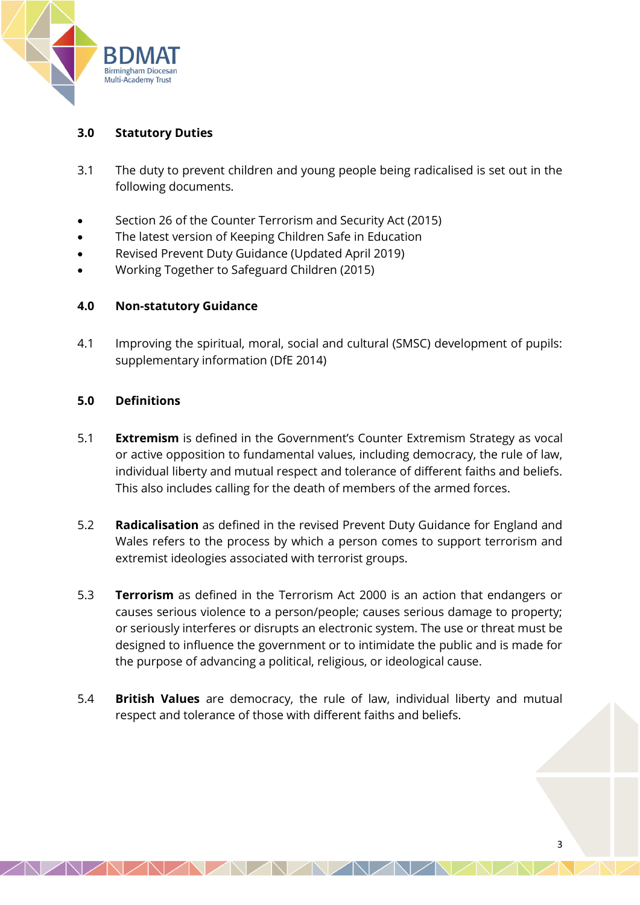

# **3.0 Statutory Duties**

- 3.1 The duty to prevent children and young people being radicalised is set out in the following documents.
- Section 26 of the Counter Terrorism and Security Act (2015)
- The latest version of Keeping Children Safe in Education
- Revised Prevent Duty Guidance (Updated April 2019)
- Working Together to Safeguard Children (2015)

## **4.0 Non-statutory Guidance**

4.1 Improving the spiritual, moral, social and cultural (SMSC) development of pupils: supplementary information (DfE 2014)

## **5.0 Definitions**

- 5.1 **Extremism** is defined in the Government's Counter Extremism Strategy as vocal or active opposition to fundamental values, including democracy, the rule of law, individual liberty and mutual respect and tolerance of different faiths and beliefs. This also includes calling for the death of members of the armed forces.
- 5.2 **Radicalisation** as defined in the revised Prevent Duty Guidance for England and Wales refers to the process by which a person comes to support terrorism and extremist ideologies associated with terrorist groups.
- 5.3 **Terrorism** as defined in the Terrorism Act 2000 is an action that endangers or causes serious violence to a person/people; causes serious damage to property; or seriously interferes or disrupts an electronic system. The use or threat must be designed to influence the government or to intimidate the public and is made for the purpose of advancing a political, religious, or ideological cause.
- 5.4 **British Values** are democracy, the rule of law, individual liberty and mutual respect and tolerance of those with different faiths and beliefs.

NAMAN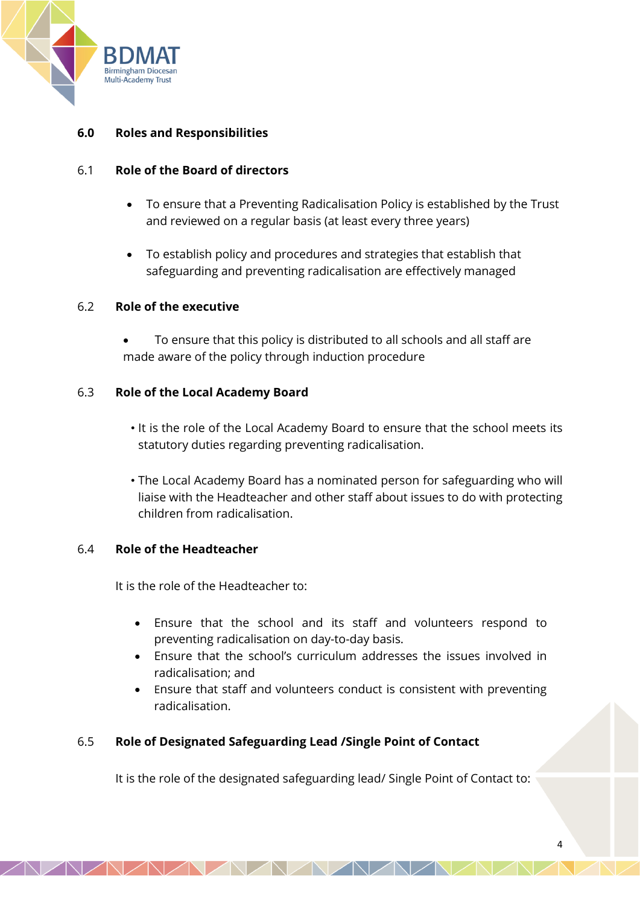

# **6.0 Roles and Responsibilities**

# 6.1 **Role of the Board of directors**

- To ensure that a Preventing Radicalisation Policy is established by the Trust and reviewed on a regular basis (at least every three years)
- To establish policy and procedures and strategies that establish that safeguarding and preventing radicalisation are effectively managed

## 6.2 **Role of the executive**

• To ensure that this policy is distributed to all schools and all staff are made aware of the policy through induction procedure

# 6.3 **Role of the Local Academy Board**

- It is the role of the Local Academy Board to ensure that the school meets its statutory duties regarding preventing radicalisation.
- The Local Academy Board has a nominated person for safeguarding who will liaise with the Headteacher and other staff about issues to do with protecting children from radicalisation.

## 6.4 **Role of the Headteacher**

It is the role of the Headteacher to:

- Ensure that the school and its staff and volunteers respond to preventing radicalisation on day-to-day basis.
- Ensure that the school's curriculum addresses the issues involved in radicalisation; and
- Ensure that staff and volunteers conduct is consistent with preventing radicalisation.

# 6.5 **Role of Designated Safeguarding Lead /Single Point of Contact**

It is the role of the designated safeguarding lead/ Single Point of Contact to:

NAMAM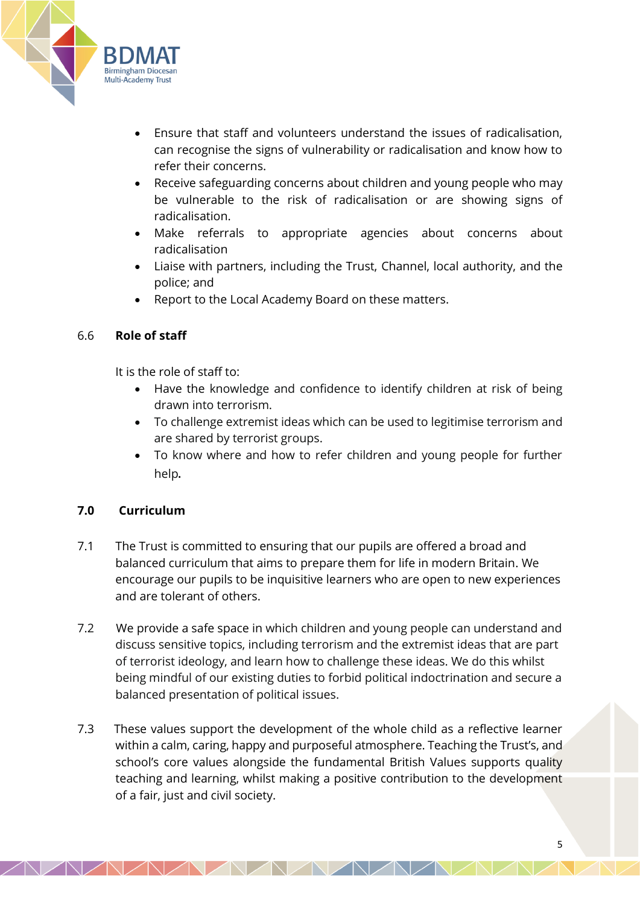

- Ensure that staff and volunteers understand the issues of radicalisation, can recognise the signs of vulnerability or radicalisation and know how to refer their concerns.
- Receive safeguarding concerns about children and young people who may be vulnerable to the risk of radicalisation or are showing signs of radicalisation.
- Make referrals to appropriate agencies about concerns about radicalisation
- Liaise with partners, including the Trust, Channel, local authority, and the police; and
- Report to the Local Academy Board on these matters.

# 6.6 **Role of staff**

It is the role of staff to:

- Have the knowledge and confidence to identify children at risk of being drawn into terrorism.
- To challenge extremist ideas which can be used to legitimise terrorism and are shared by terrorist groups.
- To know where and how to refer children and young people for further help.

# **7.0 Curriculum**

- 7.1 The Trust is committed to ensuring that our pupils are offered a broad and balanced curriculum that aims to prepare them for life in modern Britain. We encourage our pupils to be inquisitive learners who are open to new experiences and are tolerant of others.
- 7.2 We provide a safe space in which children and young people can understand and discuss sensitive topics, including terrorism and the extremist ideas that are part of terrorist ideology, and learn how to challenge these ideas. We do this whilst being mindful of our existing duties to forbid political indoctrination and secure a balanced presentation of political issues.
- 7.3 These values support the development of the whole child as a reflective learner within a calm, caring, happy and purposeful atmosphere. Teaching the Trust's, and school's core values alongside the fundamental British Values supports quality teaching and learning, whilst making a positive contribution to the development of a fair, just and civil society.

ALAMAMAMAMA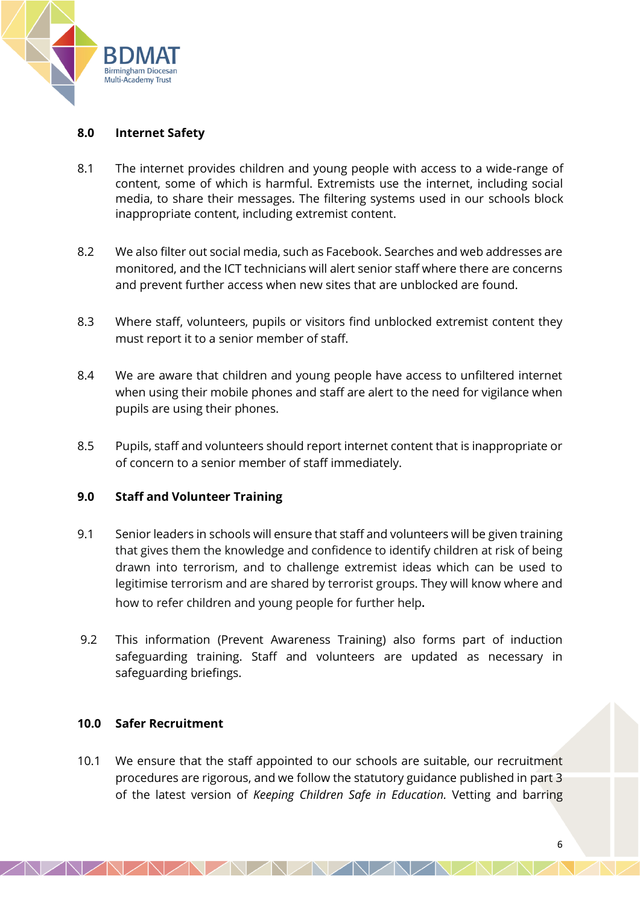

#### **8.0 Internet Safety**

- 8.1 The internet provides children and young people with access to a wide-range of content, some of which is harmful. Extremists use the internet, including social media, to share their messages. The filtering systems used in our schools block inappropriate content, including extremist content.
- 8.2 We also filter out social media, such as Facebook. Searches and web addresses are monitored, and the ICT technicians will alert senior staff where there are concerns and prevent further access when new sites that are unblocked are found.
- 8.3 Where staff, volunteers, pupils or visitors find unblocked extremist content they must report it to a senior member of staff.
- 8.4 We are aware that children and young people have access to unfiltered internet when using their mobile phones and staff are alert to the need for vigilance when pupils are using their phones.
- 8.5 Pupils, staff and volunteers should report internet content that is inappropriate or of concern to a senior member of staff immediately.

## **9.0 Staff and Volunteer Training**

- 9.1 Senior leaders in schools will ensure that staff and volunteers will be given training that gives them the knowledge and confidence to identify children at risk of being drawn into terrorism, and to challenge extremist ideas which can be used to legitimise terrorism and are shared by terrorist groups. They will know where and how to refer children and young people for further help.
- 9.2 This information (Prevent Awareness Training) also forms part of induction safeguarding training. Staff and volunteers are updated as necessary in safeguarding briefings.

#### **10.0 Safer Recruitment**

10.1 We ensure that the staff appointed to our schools are suitable, our recruitment procedures are rigorous, and we follow the statutory guidance published in part 3 of the latest version of *Keeping Children Safe in Education.* Vetting and barring

NAMAMA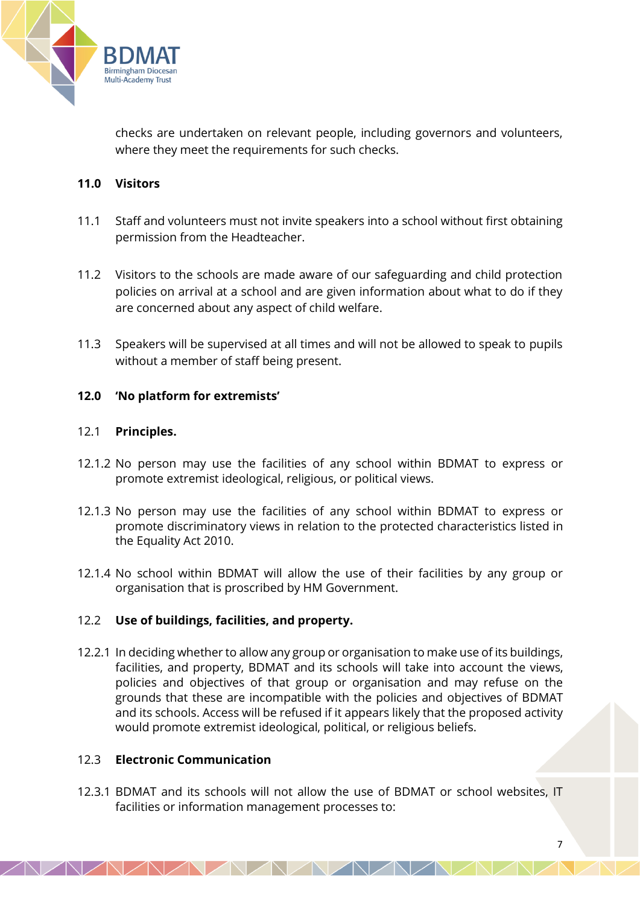

checks are undertaken on relevant people, including governors and volunteers, where they meet the requirements for such checks.

# **11.0 Visitors**

- 11.1 Staff and volunteers must not invite speakers into a school without first obtaining permission from the Headteacher.
- 11.2 Visitors to the schools are made aware of our safeguarding and child protection policies on arrival at a school and are given information about what to do if they are concerned about any aspect of child welfare.
- 11.3 Speakers will be supervised at all times and will not be allowed to speak to pupils without a member of staff being present.

# **12.0 'No platform for extremists'**

## 12.1 **Principles.**

- 12.1.2 No person may use the facilities of any school within BDMAT to express or promote extremist ideological, religious, or political views.
- 12.1.3 No person may use the facilities of any school within BDMAT to express or promote discriminatory views in relation to the protected characteristics listed in the Equality Act 2010.
- 12.1.4 No school within BDMAT will allow the use of their facilities by any group or organisation that is proscribed by HM Government.

## 12.2 **Use of buildings, facilities, and property.**

12.2.1 In deciding whether to allow any group or organisation to make use of its buildings, facilities, and property, BDMAT and its schools will take into account the views, policies and objectives of that group or organisation and may refuse on the grounds that these are incompatible with the policies and objectives of BDMAT and its schools. Access will be refused if it appears likely that the proposed activity would promote extremist ideological, political, or religious beliefs.

## 12.3 **Electronic Communication**

12.3.1 BDMAT and its schools will not allow the use of BDMAT or school websites, IT facilities or information management processes to:

<u>JALALALALALALALA</u>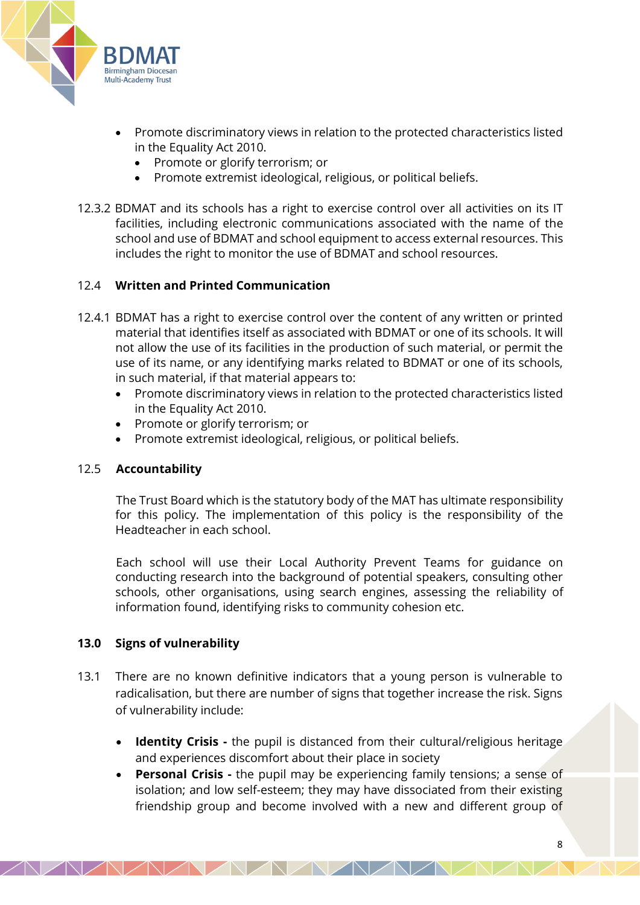

- Promote discriminatory views in relation to the protected characteristics listed in the Equality Act 2010.
	- Promote or glorify terrorism; or
	- Promote extremist ideological, religious, or political beliefs.
- 12.3.2 BDMAT and its schools has a right to exercise control over all activities on its IT facilities, including electronic communications associated with the name of the school and use of BDMAT and school equipment to access external resources. This includes the right to monitor the use of BDMAT and school resources.

# 12.4 **Written and Printed Communication**

- 12.4.1 BDMAT has a right to exercise control over the content of any written or printed material that identifies itself as associated with BDMAT or one of its schools. It will not allow the use of its facilities in the production of such material, or permit the use of its name, or any identifying marks related to BDMAT or one of its schools, in such material, if that material appears to:
	- Promote discriminatory views in relation to the protected characteristics listed in the Equality Act 2010.
	- Promote or glorify terrorism; or

NZN AVZ

• Promote extremist ideological, religious, or political beliefs.

## 12.5 **Accountability**

The Trust Board which is the statutory body of the MAT has ultimate responsibility for this policy. The implementation of this policy is the responsibility of the Headteacher in each school.

Each school will use their Local Authority Prevent Teams for guidance on conducting research into the background of potential speakers, consulting other schools, other organisations, using search engines, assessing the reliability of information found, identifying risks to community cohesion etc.

#### **13.0 Signs of vulnerability**

- 13.1 There are no known definitive indicators that a young person is vulnerable to radicalisation, but there are number of signs that together increase the risk. Signs of vulnerability include:
	- **Identity Crisis -** the pupil is distanced from their cultural/religious heritage and experiences discomfort about their place in society
	- **Personal Crisis -** the pupil may be experiencing family tensions; a sense of isolation; and low self-esteem; they may have dissociated from their existing friendship group and become involved with a new and different group of

NAMAMA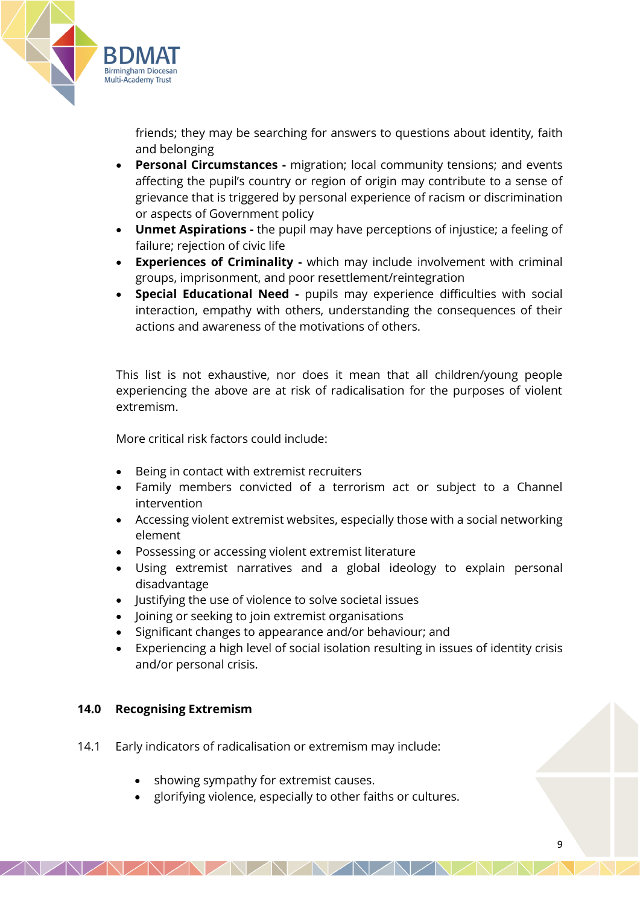

friends; they may be searching for answers to questions about identity, faith and belonging

- **Personal Circumstances -** migration: local community tensions; and events affecting the pupil's country or region of origin may contribute to a sense of grievance that is triggered by personal experience of racism or discrimination or aspects of Government policy
- **Unmet Aspirations -** the pupil may have perceptions of injustice; a feeling of failure; rejection of civic life
- **Experiences of Criminality -** which may include involvement with criminal groups, imprisonment, and poor resettlement/reintegration
- **Special Educational Need -** pupils may experience difficulties with social interaction, empathy with others, understanding the consequences of their actions and awareness of the motivations of others.

This list is not exhaustive, nor does it mean that all children/young people experiencing the above are at risk of radicalisation for the purposes of violent extremism.

More critical risk factors could include:

- Being in contact with extremist recruiters
- Family members convicted of a terrorism act or subject to a Channel intervention
- Accessing violent extremist websites, especially those with a social networking element
- Possessing or accessing violent extremist literature
- Using extremist narratives and a global ideology to explain personal disadvantage
- Justifying the use of violence to solve societal issues
- Joining or seeking to join extremist organisations
- Significant changes to appearance and/or behaviour; and
- Experiencing a high level of social isolation resulting in issues of identity crisis and/or personal crisis.

 $\sqrt{N}$ 

## **14.0 Recognising Extremism**

- 14.1 Early indicators of radicalisation or extremism may include:
	- showing sympathy for extremist causes.
	- glorifying violence, especially to other faiths or cultures.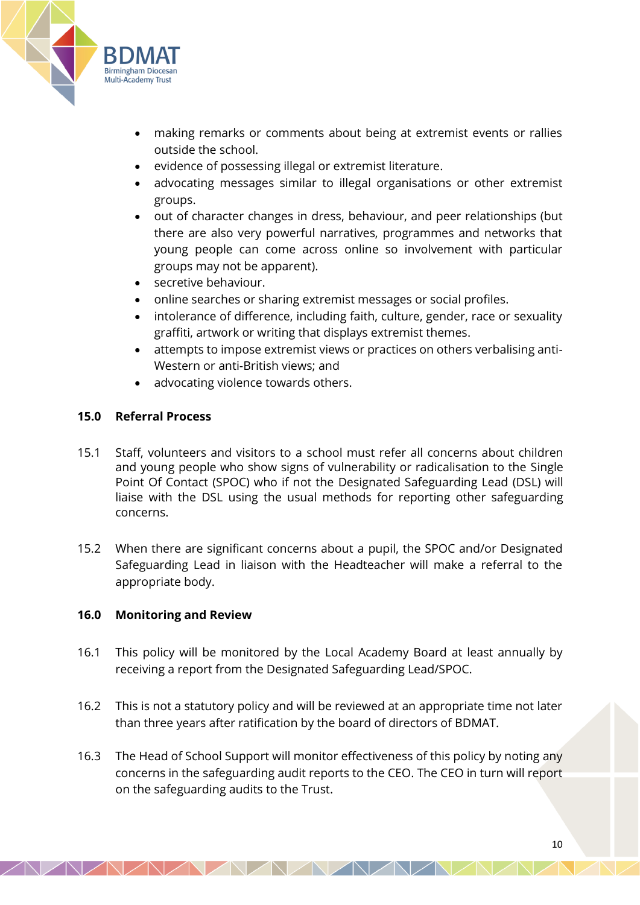

- making remarks or comments about being at extremist events or rallies outside the school.
- evidence of possessing illegal or extremist literature.
- advocating messages similar to illegal organisations or other extremist groups.
- out of character changes in dress, behaviour, and peer relationships (but there are also very powerful narratives, programmes and networks that young people can come across online so involvement with particular groups may not be apparent).
- secretive behaviour.
- online searches or sharing extremist messages or social profiles.
- intolerance of difference, including faith, culture, gender, race or sexuality graffiti, artwork or writing that displays extremist themes.
- attempts to impose extremist views or practices on others verbalising anti-Western or anti-British views; and
- advocating violence towards others.

## **15.0 Referral Process**

- 15.1 Staff, volunteers and visitors to a school must refer all concerns about children and young people who show signs of vulnerability or radicalisation to the Single Point Of Contact (SPOC) who if not the Designated Safeguarding Lead (DSL) will liaise with the DSL using the usual methods for reporting other safeguarding concerns.
- 15.2 When there are significant concerns about a pupil, the SPOC and/or Designated Safeguarding Lead in liaison with the Headteacher will make a referral to the appropriate body.

## **16.0 Monitoring and Review**

- 16.1 This policy will be monitored by the Local Academy Board at least annually by receiving a report from the Designated Safeguarding Lead/SPOC.
- 16.2 This is not a statutory policy and will be reviewed at an appropriate time not later than three years after ratification by the board of directors of BDMAT.
- 16.3 The Head of School Support will monitor effectiveness of this policy by noting any concerns in the safeguarding audit reports to the CEO. The CEO in turn will report on the safeguarding audits to the Trust.

MAMAMAMAMAM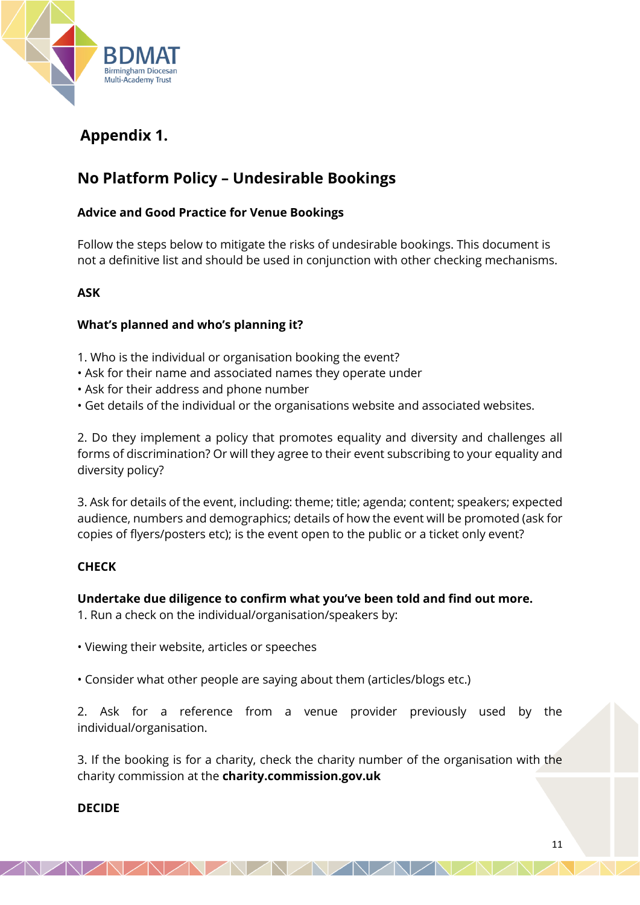

# **Appendix 1.**

# **No Platform Policy – Undesirable Bookings**

# **Advice and Good Practice for Venue Bookings**

Follow the steps below to mitigate the risks of undesirable bookings. This document is not a definitive list and should be used in conjunction with other checking mechanisms.

# **ASK**

# **What's planned and who's planning it?**

- 1. Who is the individual or organisation booking the event?
- Ask for their name and associated names they operate under
- Ask for their address and phone number
- Get details of the individual or the organisations website and associated websites.

2. Do they implement a policy that promotes equality and diversity and challenges all forms of discrimination? Or will they agree to their event subscribing to your equality and diversity policy?

3. Ask for details of the event, including: theme; title; agenda; content; speakers; expected audience, numbers and demographics; details of how the event will be promoted (ask for copies of flyers/posters etc); is the event open to the public or a ticket only event?

## **CHECK**

## **Undertake due diligence to confirm what you've been told and find out more.**

1. Run a check on the individual/organisation/speakers by:

• Viewing their website, articles or speeches

• Consider what other people are saying about them (articles/blogs etc.)

2. Ask for a reference from a venue provider previously used by the individual/organisation.

3. If the booking is for a charity, check the charity number of the organisation with the charity commission at the **charity.commission.gov.uk** 

**TIME AND STATE** 

## **DECIDE**